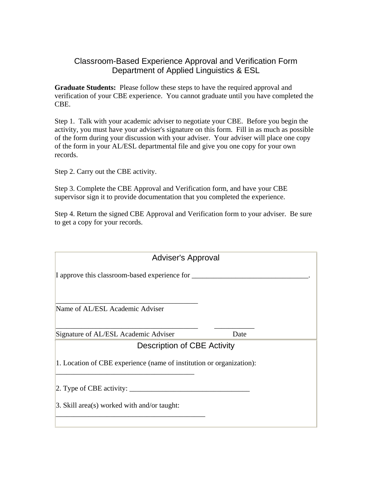## Classroom-Based Experience Approval and Verification Form Department of Applied Linguistics & ESL

**Graduate Students:** Please follow these steps to have the required approval and verification of your CBE experience. You cannot graduate until you have completed the CBE.

Step 1. Talk with your academic adviser to negotiate your CBE. Before you begin the activity, you must have your adviser's signature on this form. Fill in as much as possible of the form during your discussion with your adviser. Your adviser will place one copy of the form in your AL/ESL departmental file and give you one copy for your own records.

Step 2. Carry out the CBE activity.

Step 3. Complete the CBE Approval and Verification form, and have your CBE supervisor sign it to provide documentation that you completed the experience.

Step 4. Return the signed CBE Approval and Verification form to your adviser. Be sure to get a copy for your records.

| <b>Adviser's Approval</b>                                            |      |  |
|----------------------------------------------------------------------|------|--|
| I approve this classroom-based experience for _____                  |      |  |
|                                                                      |      |  |
| Name of AL/ESL Academic Adviser                                      |      |  |
| Signature of AL/ESL Academic Adviser                                 | Date |  |
| <b>Description of CBE Activity</b>                                   |      |  |
| 1. Location of CBE experience (name of institution or organization): |      |  |
| 2. Type of CBE activity: $\qquad \qquad$                             |      |  |
| 3. Skill area(s) worked with and/or taught:                          |      |  |
|                                                                      |      |  |